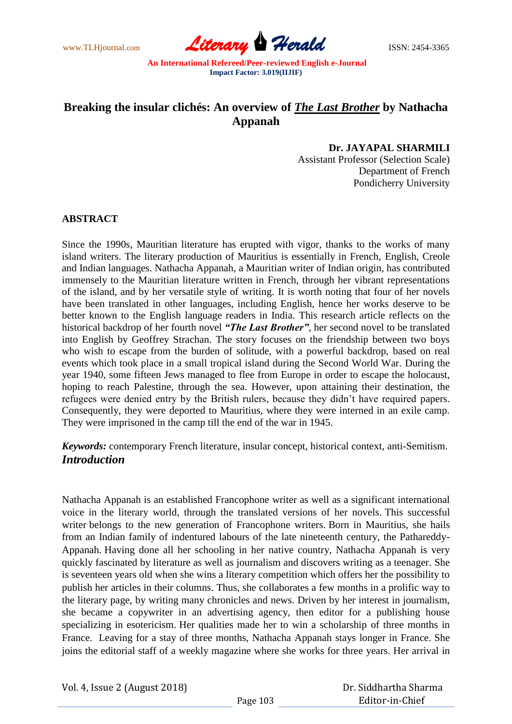www.TLHjournal.com **Literary Herald** ISSN: 2454-3365

# **Breaking the insular clichés: An overview of** *The Last Brother* **by Nathacha Appanah**

### **Dr. JAYAPAL SHARMILI**

Assistant Professor (Selection Scale) Department of French Pondicherry University

#### **ABSTRACT**

Since the 1990s, Mauritian literature has erupted with vigor, thanks to the works of many island writers. The literary production of Mauritius is essentially in French, English, Creole and Indian languages. Nathacha Appanah, a Mauritian writer of Indian origin, has contributed immensely to the Mauritian literature written in French, through her vibrant representations of the island, and by her versatile style of writing. It is worth noting that four of her novels have been translated in other languages, including English, hence her works deserve to be better known to the English language readers in India. This research article reflects on the historical backdrop of her fourth novel *"The Last Brother"*, her second novel to be translated into English by Geoffrey Strachan. The story focuses on the friendship between two boys who wish to escape from the burden of solitude, with a powerful backdrop, based on real events which took place in a small tropical island during the Second World War. During the year 1940, some fifteen Jews managed to flee from Europe in order to escape the holocaust, hoping to reach Palestine, through the sea. However, upon attaining their destination, the refugees were denied entry by the British rulers, because they didn't have required papers. Consequently, they were deported to Mauritius, where they were interned in an exile camp. They were imprisoned in the camp till the end of the war in 1945.

*Keywords:* contemporary French literature, insular concept, historical context, anti-Semitism. *Introduction*

Nathacha Appanah is an established Francophone writer as well as a significant international voice in the literary world, through the translated versions of her novels. This successful writer belongs to the new generation of Francophone writers. Born in Mauritius, she hails from an Indian family of indentured labours of the late nineteenth century, the Pathareddy-Appanah. Having done all her schooling in her native country, Nathacha Appanah is very quickly fascinated by literature as well as journalism and discovers writing as a teenager. She is seventeen years old when she wins a literary competition which offers her the possibility to publish her articles in their columns. Thus, she collaborates a few months in a prolific way to the literary page, by writing many chronicles and news. Driven by her interest in journalism, she became a copywriter in an advertising agency, then editor for a publishing house specializing in esotericism. Her qualities made her to win a scholarship of three months in France. Leaving for a stay of three months, Nathacha Appanah stays longer in France. She joins the editorial staff of a weekly magazine where she works for three years. Her arrival in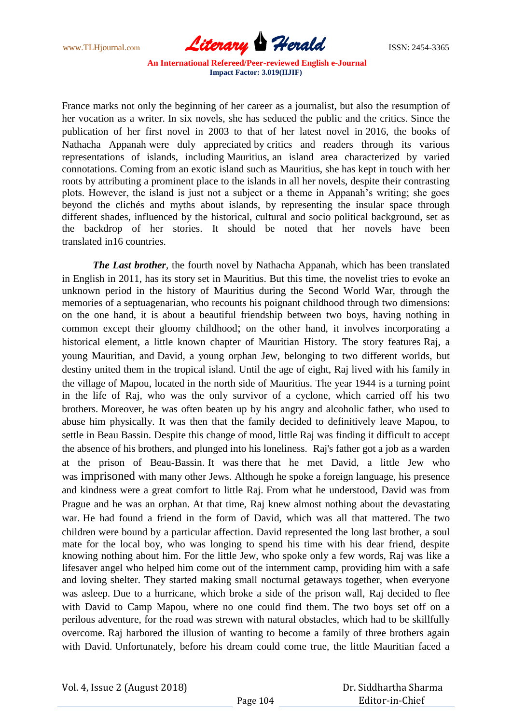

France marks not only the beginning of her career as a journalist, but also the resumption of her vocation as a writer. In six novels, she has seduced the public and the critics. Since the publication of her first novel in 2003 to that of her latest novel in 2016, the books of Nathacha Appanah were duly appreciated by critics and readers through its various representations of islands, including Mauritius, an island area characterized by varied connotations. Coming from an exotic island such as Mauritius, she has kept in touch with her roots by attributing a prominent place to the islands in all her novels, despite their contrasting plots. However, the island is just not a subject or a theme in Appanah's writing; she goes beyond the clichés and myths about islands, by representing the insular space through different shades, influenced by the historical, cultural and socio political background, set as the backdrop of her stories. It should be noted that her novels have been translated in16 countries.

*The Last brother*, the fourth novel by Nathacha Appanah, which has been translated in English in 2011, has its story set in Mauritius. But this time, the novelist tries to evoke an unknown period in the history of Mauritius during the Second World War, through the memories of a septuagenarian, who recounts his poignant childhood through two dimensions: on the one hand, it is about a beautiful friendship between two boys, having nothing in common except their gloomy childhood; on the other hand, it involves incorporating a historical element, a little known chapter of Mauritian History. The story features Raj, a young Mauritian, and David, a young orphan Jew, belonging to two different worlds, but destiny united them in the tropical island. Until the age of eight, Raj lived with his family in the village of Mapou, located in the north side of Mauritius. The year 1944 is a turning point in the life of Raj, who was the only survivor of a cyclone, which carried off his two brothers. Moreover, he was often beaten up by his angry and alcoholic father, who used to abuse him physically. It was then that the family decided to definitively leave Mapou, to settle in Beau Bassin. Despite this change of mood, little Raj was finding it difficult to accept the absence of his brothers, and plunged into his loneliness. Raj's father got a job as a warden at the prison of Beau-Bassin. It was there that he met David, a little Jew who was imprisoned with many other Jews. Although he spoke a foreign language, his presence and kindness were a great comfort to little Raj. From what he understood, David was from Prague and he was an orphan. At that time, Raj knew almost nothing about the devastating war. He had found a friend in the form of David, which was all that mattered. The two children were bound by a particular affection. David represented the long last brother, a soul mate for the local boy, who was longing to spend his time with his dear friend, despite knowing nothing about him. For the little Jew, who spoke only a few words, Raj was like a lifesaver angel who helped him come out of the internment camp, providing him with a safe and loving shelter. They started making small nocturnal getaways together, when everyone was asleep. Due to a hurricane, which broke a side of the prison wall, Raj decided to flee with David to Camp Mapou, where no one could find them. The two boys set off on a perilous adventure, for the road was strewn with natural obstacles, which had to be skillfully overcome. Raj harbored the illusion of wanting to become a family of three brothers again with David. Unfortunately, before his dream could come true, the little Mauritian faced a

 Dr. Siddhartha Sharma Editor-in-Chief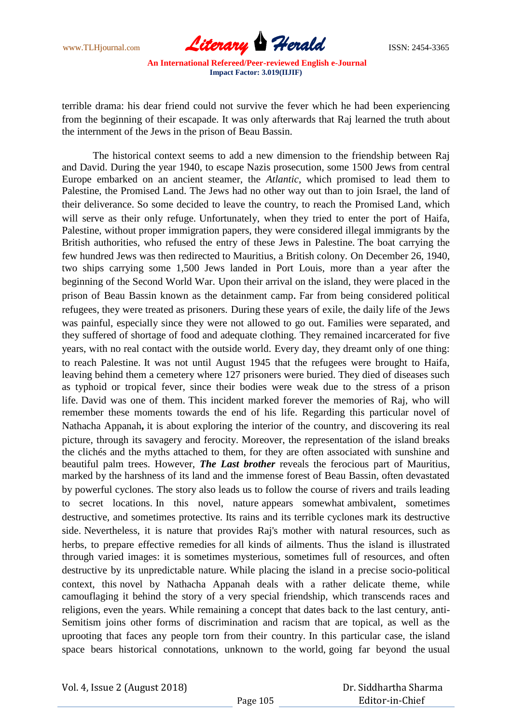

terrible drama: his dear friend could not survive the fever which he had been experiencing from the beginning of their escapade. It was only afterwards that Raj learned the truth about the internment of the Jews in the prison of Beau Bassin.

The historical context seems to add a new dimension to the friendship between Raj and David. During the year 1940, to escape Nazis prosecution, some 1500 Jews from central Europe embarked on an ancient steamer, the *Atlantic*, which promised to lead them to Palestine, the Promised Land. The Jews had no other way out than to join Israel, the land of their deliverance. So some decided to leave the country, to reach the Promised Land, which will serve as their only refuge. Unfortunately, when they tried to enter the port of Haifa, Palestine, without proper immigration papers, they were considered illegal immigrants by the British authorities, who refused the entry of these Jews in Palestine. The boat carrying the few hundred Jews was then redirected to Mauritius, a British colony. On December 26, 1940, two ships carrying some 1,500 Jews landed in Port Louis, more than a year after the beginning of the Second World War. Upon their arrival on the island, they were placed in the prison of Beau Bassin known as the detainment camp. Far from being considered political refugees, they were treated as prisoners. During these years of exile, the daily life of the Jews was painful, especially since they were not allowed to go out. Families were separated, and they suffered of shortage of food and adequate clothing. They remained incarcerated for five years, with no real contact with the outside world. Every day, they dreamt only of one thing: to reach Palestine. It was not until August 1945 that the refugees were brought to Haifa, leaving behind them a cemetery where 127 prisoners were buried. They died of diseases such as typhoid or tropical fever, since their bodies were weak due to the stress of a prison life. David was one of them. This incident marked forever the memories of Raj, who will remember these moments towards the end of his life. Regarding this particular novel of Nathacha Appanah**,** it is about exploring the interior of the country, and discovering its real picture, through its savagery and ferocity. Moreover, the representation of the island breaks the clichés and the myths attached to them, for they are often associated with sunshine and beautiful palm trees. However, *The Last brother* reveals the ferocious part of Mauritius, marked by the harshness of its land and the immense forest of Beau Bassin, often devastated by powerful cyclones. The story also leads us to follow the course of rivers and trails leading to secret locations. In this novel, nature appears somewhat ambivalent, sometimes destructive, and sometimes protective. Its rains and its terrible cyclones mark its destructive side. Nevertheless, it is nature that provides Raj's mother with natural resources, such as herbs, to prepare effective remedies for all kinds of ailments. Thus the island is illustrated through varied images: it is sometimes mysterious, sometimes full of resources, and often destructive by its unpredictable nature. While placing the island in a precise socio-political context, this novel by Nathacha Appanah deals with a rather delicate theme, while camouflaging it behind the story of a very special friendship, which transcends races and religions, even the years. While remaining a concept that dates back to the last century, anti-Semitism joins other forms of discrimination and racism that are topical, as well as the uprooting that faces any people torn from their country. In this particular case, the island space bears historical connotations, unknown to the world, going far beyond the usual

 Dr. Siddhartha Sharma Editor-in-Chief